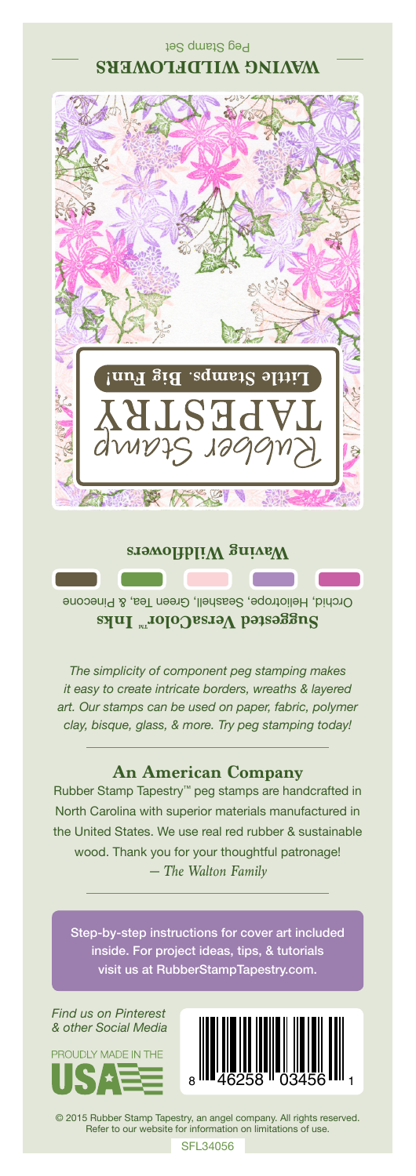# Peg Stamp Set **WAVING WILDFLOWERS**



#### **Waving Wildflowers**

Orchid, Heliotrope, Seashell, Green Tea, & Pinecone **Suggested VersaColor** Inks

*The simplicity of component peg stamping makes it easy to create intricate borders, wreaths & layered art. Our stamps can be used on paper, fabric, polymer clay, bisque, glass, & more. Try peg stamping today!*

# **An American Company**

*— The Walton Family* Rubber Stamp Tapestry™ peg stamps are handcrafted in North Carolina with superior materials manufactured in the United States. We use real red rubber & sustainable wood. Thank you for your thoughtful patronage!

Step-by-step instructions for cover art included inside. For project ideas, tips, & tutorials visit us at RubberStampTapestry.com.

*Find us on Pinterest & other Social Media*





© 2015 Rubber Stamp Tapestry, an angel company. All rights reserved. Refer to our website for information on limitations of use.